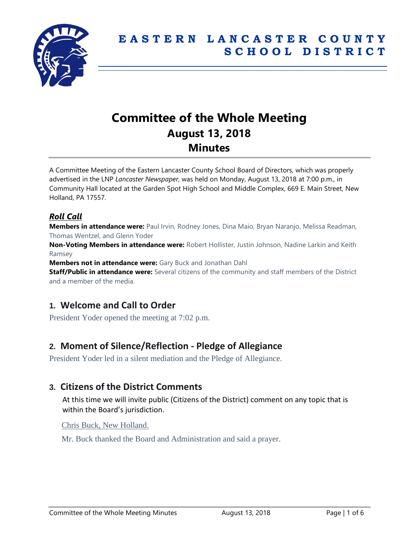

# **Committee of the Whole Meeting August 13, 2018 Minutes**

A Committee Meeting of the Eastern Lancaster County School Board of Directors, which was properly advertised in the LNP *Lancaster Newspaper*, was held on Monday, August 13, 2018 at 7:00 p.m., in Community Hall located at the Garden Spot High School and Middle Complex, 669 E. Main Street, New Holland, PA 17557.

#### *Roll Call*

**Members in attendance were:** Paul Irvin, Rodney Jones, Dina Maio, Bryan Naranjo, Melissa Readman, Thomas Wentzel, and Glenn Yoder

**Non-Voting Members in attendance were:** Robert Hollister, Justin Johnson, Nadine Larkin and Keith Ramsey

**Members not in attendance were:** Gary Buck and Jonathan Dahl

**Staff/Public in attendance were:** Several citizens of the community and staff members of the District and a member of the media.

## **1. Welcome and Call to Order**

President Yoder opened the meeting at 7:02 p.m.

## **2. Moment of Silence/Reflection - Pledge of Allegiance**

President Yoder led in a silent mediation and the Pledge of Allegiance.

## **3. Citizens of the District Comments**

At this time we will invite public (Citizens of the District) comment on any topic that is within the Board's jurisdiction.

Chris Buck, New Holland.

Mr. Buck thanked the Board and Administration and said a prayer.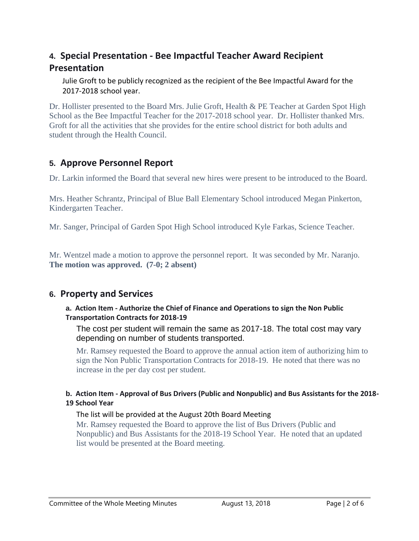## **4. Special Presentation - Bee Impactful Teacher Award Recipient Presentation**

Julie Groft to be publicly recognized as the recipient of the Bee Impactful Award for the 2017-2018 school year.

Dr. Hollister presented to the Board Mrs. Julie Groft, Health & PE Teacher at Garden Spot High School as the Bee Impactful Teacher for the 2017-2018 school year. Dr. Hollister thanked Mrs. Groft for all the activities that she provides for the entire school district for both adults and student through the Health Council.

## **5. Approve Personnel Report**

Dr. Larkin informed the Board that several new hires were present to be introduced to the Board.

Mrs. Heather Schrantz, Principal of Blue Ball Elementary School introduced Megan Pinkerton, Kindergarten Teacher.

Mr. Sanger, Principal of Garden Spot High School introduced Kyle Farkas, Science Teacher.

Mr. Wentzel made a motion to approve the personnel report. It was seconded by Mr. Naranjo. **The motion was approved. (7-0; 2 absent)**

## **6. Property and Services**

#### **a. Action Item - Authorize the Chief of Finance and Operations to sign the Non Public Transportation Contracts for 2018-19**

The cost per student will remain the same as 2017-18. The total cost may vary depending on number of students transported.

Mr. Ramsey requested the Board to approve the annual action item of authorizing him to sign the Non Public Transportation Contracts for 2018-19. He noted that there was no increase in the per day cost per student.

#### **b. Action Item - Approval of Bus Drivers (Public and Nonpublic) and Bus Assistants for the 2018- 19 School Year**

#### The list will be provided at the August 20th Board Meeting

Mr. Ramsey requested the Board to approve the list of Bus Drivers (Public and Nonpublic) and Bus Assistants for the 2018-19 School Year. He noted that an updated list would be presented at the Board meeting.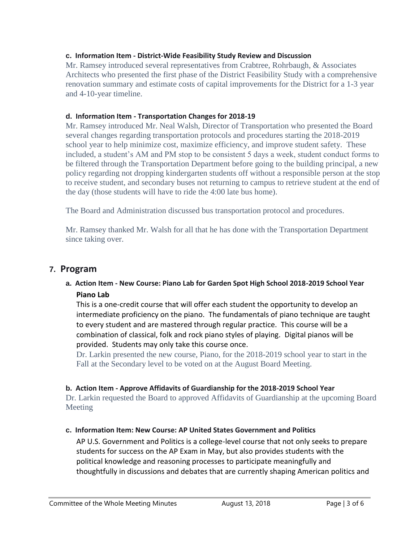#### **c. Information Item - District-Wide Feasibility Study Review and Discussion**

Mr. Ramsey introduced several representatives from Crabtree, Rohrbaugh, & Associates Architects who presented the first phase of the District Feasibility Study with a comprehensive renovation summary and estimate costs of capital improvements for the District for a 1-3 year and 4-10-year timeline.

#### **d. Information Item - Transportation Changes for 2018-19**

Mr. Ramsey introduced Mr. Neal Walsh, Director of Transportation who presented the Board several changes regarding transportation protocols and procedures starting the 2018-2019 school year to help minimize cost, maximize efficiency, and improve student safety. These included, a student's AM and PM stop to be consistent 5 days a week, student conduct forms to be filtered through the Transportation Department before going to the building principal, a new policy regarding not dropping kindergarten students off without a responsible person at the stop to receive student, and secondary buses not returning to campus to retrieve student at the end of the day (those students will have to ride the 4:00 late bus home).

The Board and Administration discussed bus transportation protocol and procedures.

Mr. Ramsey thanked Mr. Walsh for all that he has done with the Transportation Department since taking over.

#### **7. Program**

#### **a. Action Item - New Course: Piano Lab for Garden Spot High School 2018-2019 School Year Piano Lab**

This is a one-credit course that will offer each student the opportunity to develop an intermediate proficiency on the piano. The fundamentals of piano technique are taught to every student and are mastered through regular practice. This course will be a combination of classical, folk and rock piano styles of playing. Digital pianos will be provided. Students may only take this course once.

Dr. Larkin presented the new course, Piano, for the 2018-2019 school year to start in the Fall at the Secondary level to be voted on at the August Board Meeting.

#### **b. Action Item - Approve Affidavits of Guardianship for the 2018-2019 School Year**

Dr. Larkin requested the Board to approved Affidavits of Guardianship at the upcoming Board Meeting

#### **c. Information Item: New Course: AP United States Government and Politics**

AP U.S. Government and Politics is a college-level course that not only seeks to prepare students for success on the AP Exam in May, but also provides students with the political knowledge and reasoning processes to participate meaningfully and thoughtfully in discussions and debates that are currently shaping American politics and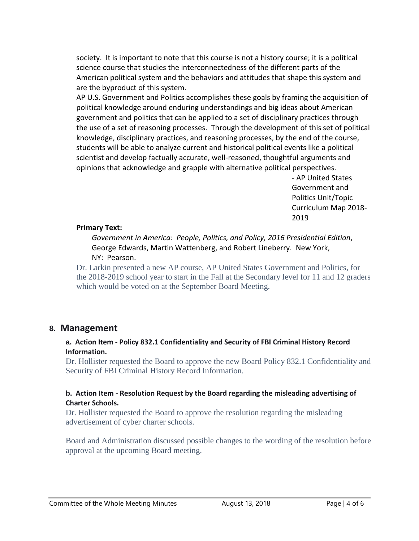society. It is important to note that this course is not a history course; it is a political science course that studies the interconnectedness of the different parts of the American political system and the behaviors and attitudes that shape this system and are the byproduct of this system.

AP U.S. Government and Politics accomplishes these goals by framing the acquisition of political knowledge around enduring understandings and big ideas about American government and politics that can be applied to a set of disciplinary practices through the use of a set of reasoning processes. Through the development of this set of political knowledge, disciplinary practices, and reasoning processes, by the end of the course, students will be able to analyze current and historical political events like a political scientist and develop factually accurate, well-reasoned, thoughtful arguments and opinions that acknowledge and grapple with alternative political perspectives.

- AP United States Government and Politics Unit/Topic Curriculum Map 2018- 2019

#### **Primary Text:**

*Government in America: People, Politics, and Policy, 2016 Presidential Edition*, George Edwards, Martin Wattenberg, and Robert Lineberry. New York, NY: Pearson.

Dr. Larkin presented a new AP course, AP United States Government and Politics, for the 2018-2019 school year to start in the Fall at the Secondary level for 11 and 12 graders which would be voted on at the September Board Meeting.

#### **8. Management**

#### **a. Action Item - Policy 832.1 Confidentiality and Security of FBI Criminal History Record Information.**

Dr. Hollister requested the Board to approve the new Board Policy 832.1 Confidentiality and Security of FBI Criminal History Record Information.

#### **b. Action Item - Resolution Request by the Board regarding the misleading advertising of Charter Schools.**

Dr. Hollister requested the Board to approve the resolution regarding the misleading advertisement of cyber charter schools.

Board and Administration discussed possible changes to the wording of the resolution before approval at the upcoming Board meeting.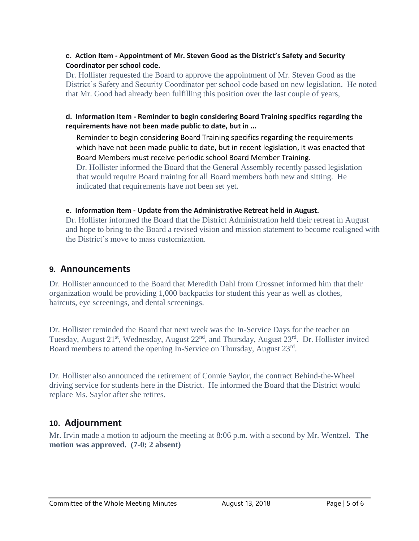#### **c. Action Item - Appointment of Mr. Steven Good as the District's Safety and Security Coordinator per school code.**

Dr. Hollister requested the Board to approve the appointment of Mr. Steven Good as the District's Safety and Security Coordinator per school code based on new legislation. He noted that Mr. Good had already been fulfilling this position over the last couple of years,

#### **d. Information Item - Reminder to begin considering Board Training specifics regarding the requirements have not been made public to date, but in ...**

Reminder to begin considering Board Training specifics regarding the requirements which have not been made public to date, but in recent legislation, it was enacted that Board Members must receive periodic school Board Member Training. Dr. Hollister informed the Board that the General Assembly recently passed legislation that would require Board training for all Board members both new and sitting. He indicated that requirements have not been set yet.

#### **e. Information Item - Update from the Administrative Retreat held in August.**

Dr. Hollister informed the Board that the District Administration held their retreat in August and hope to bring to the Board a revised vision and mission statement to become realigned with the District's move to mass customization.

### **9. Announcements**

Dr. Hollister announced to the Board that Meredith Dahl from Crossnet informed him that their organization would be providing 1,000 backpacks for student this year as well as clothes, haircuts, eye screenings, and dental screenings.

Dr. Hollister reminded the Board that next week was the In-Service Days for the teacher on Tuesday, August 21<sup>st</sup>, Wednesday, August 22<sup>nd</sup>, and Thursday, August 23<sup>rd</sup>. Dr. Hollister invited Board members to attend the opening In-Service on Thursday, August 23rd.

Dr. Hollister also announced the retirement of Connie Saylor, the contract Behind-the-Wheel driving service for students here in the District. He informed the Board that the District would replace Ms. Saylor after she retires.

## **10. Adjournment**

Mr. Irvin made a motion to adjourn the meeting at 8:06 p.m. with a second by Mr. Wentzel. **The motion was approved. (7-0; 2 absent)**